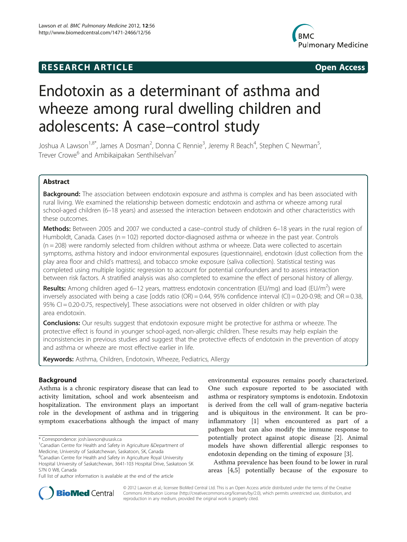# **RESEARCH ARTICLE Example 2014 COPEN ACCESS**



# Endotoxin as a determinant of asthma and wheeze among rural dwelling children and adolescents: A case–control study

Joshua A Lawson<sup>1,8\*</sup>, James A Dosman<sup>2</sup>, Donna C Rennie<sup>3</sup>, Jeremy R Beach<sup>4</sup>, Stephen C Newman<sup>5</sup> , Trever Crowe<sup>6</sup> and Ambikaipakan Senthilselvan<sup>7</sup>

# Abstract

**Background:** The association between endotoxin exposure and asthma is complex and has been associated with rural living. We examined the relationship between domestic endotoxin and asthma or wheeze among rural school-aged children (6–18 years) and assessed the interaction between endotoxin and other characteristics with these outcomes.

Methods: Between 2005 and 2007 we conducted a case–control study of children 6–18 years in the rural region of Humboldt, Canada. Cases ( $n = 102$ ) reported doctor-diagnosed asthma or wheeze in the past year. Controls (n = 208) were randomly selected from children without asthma or wheeze. Data were collected to ascertain symptoms, asthma history and indoor environmental exposures (questionnaire), endotoxin (dust collection from the play area floor and child's mattress), and tobacco smoke exposure (saliva collection). Statistical testing was completed using multiple logistic regression to account for potential confounders and to assess interaction between risk factors. A stratified analysis was also completed to examine the effect of personal history of allergy.

Results: Among children aged 6–12 years, mattress endotoxin concentration (EU/mg) and load (EU/m<sup>2</sup>) were inversely associated with being a case [odds ratio (OR) = 0.44, 95% confidence interval (CI) = 0.20-0.98; and OR = 0.38, 95% CI = 0.20-0.75, respectively]. These associations were not observed in older children or with play area endotoxin.

**Conclusions:** Our results suggest that endotoxin exposure might be protective for asthma or wheeze. The protective effect is found in younger school-aged, non-allergic children. These results may help explain the inconsistencies in previous studies and suggest that the protective effects of endotoxin in the prevention of atopy and asthma or wheeze are most effective earlier in life.

Keywords: Asthma, Children, Endotoxin, Wheeze, Pediatrics, Allergy

# Background

Asthma is a chronic respiratory disease that can lead to activity limitation, school and work absenteeism and hospitalization. The environment plays an important role in the development of asthma and in triggering symptom exacerbations although the impact of many

<sup>8</sup>Canadian Centre for Health and Safety in Agriculture Royal University

environmental exposures remains poorly characterized. One such exposure reported to be associated with asthma or respiratory symptoms is endotoxin. Endotoxin is derived from the cell wall of gram-negative bacteria and is ubiquitous in the environment. It can be proinflammatory [\[1\]](#page-8-0) when encountered as part of a pathogen but can also modify the immune response to potentially protect against atopic disease [\[2](#page-8-0)]. Animal models have shown differential allergic responses to endotoxin depending on the timing of exposure [[3\]](#page-8-0).

Asthma prevalence has been found to be lower in rural areas [\[4,5](#page-8-0)] potentially because of the exposure to



© 2012 Lawson et al.; licensee BioMed Central Ltd. This is an Open Access article distributed under the terms of the Creative Commons Attribution License [\(http://creativecommons.org/licenses/by/2.0\)](http://creativecommons.org/licenses/by/2.0), which permits unrestricted use, distribution, and reproduction in any medium, provided the original work is properly cited.

<sup>\*</sup> Correspondence: [josh.lawson@usask.ca](mailto:josh.lawson@usask.ca) <sup>1</sup>

Canadian Centre for Health and Safety in Agriculture &Department of Medicine, University of Saskatchewan, Saskatoon, SK, Canada

Hospital University of Saskatchewan, 3641-103 Hospital Drive, Saskatoon SK S7N 0 W8, Canada

Full list of author information is available at the end of the article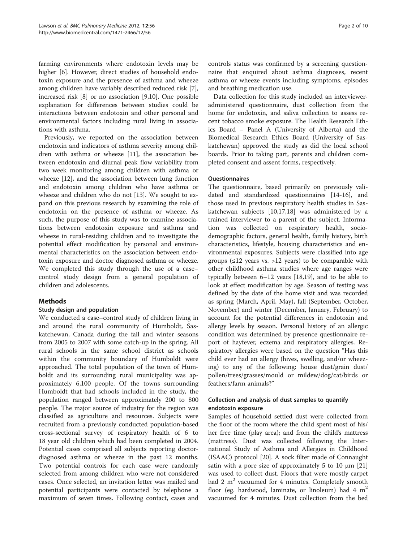farming environments where endotoxin levels may be higher [\[6](#page-8-0)]. However, direct studies of household endotoxin exposure and the presence of asthma and wheeze among children have variably described reduced risk [\[7](#page-8-0)], increased risk [[8\]](#page-8-0) or no association [[9,10\]](#page-8-0). One possible explanation for differences between studies could be interactions between endotoxin and other personal and environmental factors including rural living in associations with asthma.

Previously, we reported on the association between endotoxin and indicators of asthma severity among children with asthma or wheeze [[11](#page-8-0)], the association between endotoxin and diurnal peak flow variability from two week monitoring among children with asthma or wheeze [\[12](#page-8-0)], and the association between lung function and endotoxin among children who have asthma or wheeze and children who do not [\[13](#page-8-0)]. We sought to expand on this previous research by examining the role of endotoxin on the presence of asthma or wheeze. As such, the purpose of this study was to examine associations between endotoxin exposure and asthma and wheeze in rural-residing children and to investigate the potential effect modification by personal and environmental characteristics on the association between endotoxin exposure and doctor diagnosed asthma or wheeze. We completed this study through the use of a case– control study design from a general population of children and adolescents.

# Methods

# Study design and population

We conducted a case–control study of children living in and around the rural community of Humboldt, Saskatchewan, Canada during the fall and winter seasons from 2005 to 2007 with some catch-up in the spring. All rural schools in the same school district as schools within the community boundary of Humboldt were approached. The total population of the town of Humboldt and its surrounding rural municipality was approximately 6,100 people. Of the towns surrounding Humboldt that had schools included in the study, the population ranged between approximately 200 to 800 people. The major source of industry for the region was classified as agriculture and resources. Subjects were recruited from a previously conducted population-based cross-sectional survey of respiratory health of 6 to 18 year old children which had been completed in 2004. Potential cases comprised all subjects reporting doctordiagnosed asthma or wheeze in the past 12 months. Two potential controls for each case were randomly selected from among children who were not considered cases. Once selected, an invitation letter was mailed and potential participants were contacted by telephone a maximum of seven times. Following contact, cases and

controls status was confirmed by a screening questionnaire that enquired about asthma diagnoses, recent asthma or wheeze events including symptoms, episodes and breathing medication use.

Data collection for this study included an intervieweradministered questionnaire, dust collection from the home for endotoxin, and saliva collection to assess recent tobacco smoke exposure. The Health Research Ethics Board – Panel A (University of Alberta) and the Biomedical Research Ethics Board (University of Saskatchewan) approved the study as did the local school boards. Prior to taking part, parents and children completed consent and assent forms, respectively.

# **Ouestionnaires**

The questionnaire, based primarily on previously validated and standardized questionnaires [\[14](#page-8-0)-[16](#page-8-0)], and those used in previous respiratory health studies in Saskatchewan subjects [[10,17](#page-8-0),[18](#page-8-0)] was administered by a trained interviewer to a parent of the subject. Information was collected on respiratory health, sociodemographic factors, general health, family history, birth characteristics, lifestyle, housing characteristics and environmental exposures. Subjects were classified into age groups (≤12 years vs. >12 years) to be comparable with other childhood asthma studies where age ranges were typically between 6–12 years [\[18,19\]](#page-8-0), and to be able to look at effect modification by age. Season of testing was defined by the date of the home visit and was recorded as spring (March, April, May), fall (September, October, November) and winter (December, January, February) to account for the potential differences in endotoxin and allergy levels by season. Personal history of an allergic condition was determined by presence questionnaire report of hayfever, eczema and respiratory allergies. Respiratory allergies were based on the question "Has this child ever had an allergy (hives, swelling, and/or wheezing) to any of the following: house dust/grain dust/ pollen/trees/grasses/mould or mildew/dog/cat/birds or feathers/farm animals?"

# Collection and analysis of dust samples to quantify endotoxin exposure

Samples of household settled dust were collected from the floor of the room where the child spent most of his/ her free time (play area); and from the child's mattress (mattress). Dust was collected following the International Study of Asthma and Allergies in Childhood (ISAAC) protocol [[20\]](#page-8-0). A sock filter made of Connaught satin with a pore size of approximately 5 to 10  $\mu$ m [[21](#page-8-0)] was used to collect dust. Floors that were mostly carpet had 2  $m<sup>2</sup>$  vacuumed for 4 minutes. Completely smooth floor (eg. hardwood, laminate, or linoleum) had  $4 \text{ m}^2$ vacuumed for 4 minutes. Dust collection from the bed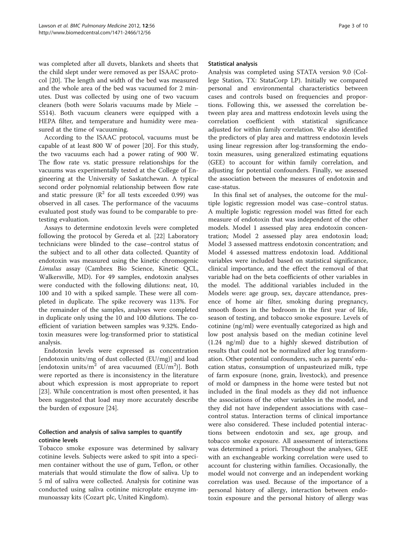was completed after all duvets, blankets and sheets that the child slept under were removed as per ISAAC protocol [\[20](#page-8-0)]. The length and width of the bed was measured and the whole area of the bed was vacuumed for 2 minutes. Dust was collected by using one of two vacuum cleaners (both were Solaris vacuums made by Miele – S514). Both vacuum cleaners were equipped with a HEPA filter, and temperature and humidity were measured at the time of vacuuming.

According to the ISAAC protocol, vacuums must be capable of at least 800 W of power [[20](#page-8-0)]. For this study, the two vacuums each had a power rating of 900 W. The flow rate vs. static pressure relationships for the vacuums was experimentally tested at the College of Engineering at the University of Saskatchewan. A typical second order polynomial relationship between flow rate and static pressure ( $R^2$  for all tests exceeded 0.99) was observed in all cases. The performance of the vacuums evaluated post study was found to be comparable to pretesting evaluation.

Assays to determine endotoxin levels were completed following the protocol by Gereda et al. [[22\]](#page-8-0) Laboratory technicians were blinded to the case–control status of the subject and to all other data collected. Quantity of endotoxin was measured using the kinetic chromogenic Limulus assay (Cambrex Bio Science, Kinetic QCL, Walkersville, MD). For 49 samples, endotoxin analyses were conducted with the following dilutions: neat, 10, 100 and 10 with a spiked sample. These were all completed in duplicate. The spike recovery was 113%. For the remainder of the samples, analyses were completed in duplicate only using the 10 and 100 dilutions. The coefficient of variation between samples was 9.32%. Endotoxin measures were log-transformed prior to statistical analysis.

Endotoxin levels were expressed as concentration [endotoxin units/mg of dust collected (EU/mg)] and load [endotoxin units/ $m^2$  of area vacuumed (EU/m<sup>2</sup>)]. Both were reported as there is inconsistency in the literature about which expression is most appropriate to report [[23\]](#page-8-0). While concentration is most often presented, it has been suggested that load may more accurately describe the burden of exposure [\[24](#page-8-0)].

# Collection and analysis of saliva samples to quantify cotinine levels

Tobacco smoke exposure was determined by salivary cotinine levels. Subjects were asked to spit into a specimen container without the use of gum, Teflon, or other materials that would stimulate the flow of saliva. Up to 5 ml of saliva were collected. Analysis for cotinine was conducted using saliva cotinine microplate enzyme immunoassay kits (Cozart plc, United Kingdom).

#### Statistical analysis

Analysis was completed using STATA version 9.0 (College Station, TX: StataCorp LP). Initially we compared personal and environmental characteristics between cases and controls based on frequencies and proportions. Following this, we assessed the correlation between play area and mattress endotoxin levels using the correlation coefficient with statistical significance adjusted for within family correlation. We also identified the predictors of play area and mattress endotoxin levels using linear regression after log-transforming the endotoxin measures, using generalized estimating equations (GEE) to account for within family correlation, and adjusting for potential confounders. Finally, we assessed the association between the measures of endotoxin and case-status.

In this final set of analyses, the outcome for the multiple logistic regression model was case–control status. A multiple logistic regression model was fitted for each measure of endotoxin that was independent of the other models. Model 1 assessed play area endotoxin concentration; Model 2 assessed play area endotoxin load; Model 3 assessed mattress endotoxin concentration; and Model 4 assessed mattress endotoxin load. Additional variables were included based on statistical significance, clinical importance, and the effect the removal of that variable had on the beta coefficients of other variables in the model. The additional variables included in the Models were: age group, sex, daycare attendance, presence of home air filter, smoking during pregnancy, smooth floors in the bedroom in the first year of life, season of testing, and tobacco smoke exposure. Levels of cotinine (ng/ml) were eventually categorized as high and low post analysis based on the median cotinine level (1.24 ng/ml) due to a highly skewed distribution of results that could not be normalized after log transformation. Other potential confounders, such as parents' education status, consumption of unpasteurized milk, type of farm exposure (none, grain, livestock), and presence of mold or dampness in the home were tested but not included in the final models as they did not influence the associations of the other variables in the model, and they did not have independent associations with case– control status. Interaction terms of clinical importance were also considered. These included potential interactions between endotoxin and sex, age group, and tobacco smoke exposure. All assessment of interactions was determined a priori. Throughout the analyses, GEE with an exchangeable working correlation were used to account for clustering within families. Occasionally, the model would not converge and an independent working correlation was used. Because of the importance of a personal history of allergy, interaction between endotoxin exposure and the personal history of allergy was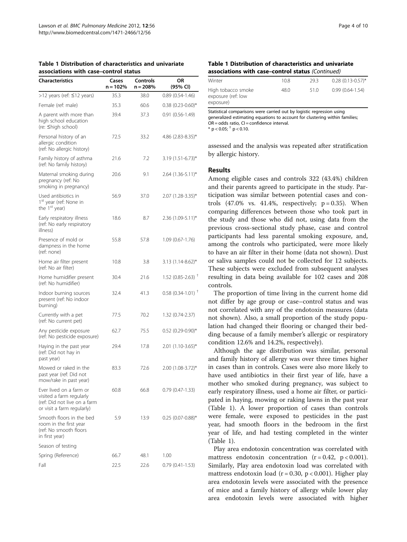| <b>Characteristics</b>                                                                                            | Cases<br>n = 102% | Controls<br>$n = 208%$ | ΟR<br>(95% CI)                  |
|-------------------------------------------------------------------------------------------------------------------|-------------------|------------------------|---------------------------------|
| >12 years (ref: ≤12 years)                                                                                        | 35.3              | 38.0                   | $0.89(0.54-1.46)$               |
| Female (ref: male)                                                                                                | 35.3              | 60.6                   | $0.38$ (0.23-0.60)*             |
| A parent with more than<br>high school education<br>(re: ≤high school)                                            | 39.4              | 37.3                   | $0.91(0.56-1.49)$               |
| Personal history of an<br>allergic condition<br>(ref: No allergic history)                                        | 72.5              | 33.2                   | $4.86$ (2.83-8.35)*             |
| Family history of asthma<br>(ref: No family history)                                                              | 21.6              | 7.2                    | $3.19$ (1.51-6.73)*             |
| Maternal smoking during<br>pregnancy (ref: No<br>smoking in pregnancy)                                            | 20.6              | 9.1                    | $2.64$ (1.36-5.11)*             |
| Used antibiotics in<br>1 <sup>st</sup> year (ref: None in<br>the 1 <sup>st</sup> year)                            | 56.9              | 37.0                   | $2.07(1.28-3.35)^*$             |
| Early respiratory illness<br>(ref: No early respiratory<br>illness)                                               | 18.6              | 8.7                    | 2.36 (1.09-5.11)*               |
| Presence of mold or<br>dampness in the home<br>(ref: none)                                                        | 55.8              | 57.8                   | $1.09(0.67 - 1.76)$             |
| Home air filter present<br>(ref: No air filter)                                                                   | 10.8              | 3.8                    | $3.13(1.14-8.62)^{*}$           |
| Home humidifier present<br>(ref: No humidifier)                                                                   | 30.4              | 21.6                   | $1.52$ (0.85-2.63) <sup>T</sup> |
| Indoor burning sources<br>present (ref: No indoor<br>burning)                                                     | 32.4              | 41.3                   | $0.58$ (0.34-1.01) <sup>+</sup> |
| Currently with a pet<br>(ref: No current pet)                                                                     | 77.5              | 70.2                   | 1.32 (0.74-2.37)                |
| Any pesticide exposure<br>(ref: No pesticide exposure)                                                            | 62.7              | 75.5                   | $0.52$ (0.29-0.90)*             |
| Haying in the past year<br>(ref: Did not hay in<br>past year)                                                     | 29.4              | 17.8                   | $2.01(1.10-3.65)^{*}$           |
| Mowed or raked in the<br>past year (ref: Did not<br>mow/rake in past year)                                        | 83.3              | 72.6                   | $2.00(1.08-3.72)^{*}$           |
| Ever lived on a farm or<br>visited a farm regularly<br>(ref: Did not live on a farm<br>or visit a farm regularly) | 60.8              | 66.8                   | $0.79(0.47-1.33)$               |
| Smooth floors in the bed<br>room in the first year<br>(ref: No smooth floors<br>in first year)                    | 5.9               | 13.9                   | $0.25$ (0.07-0.88)*             |
| Season of testing                                                                                                 |                   |                        |                                 |
| Spring (Reference)                                                                                                | 66.7              | 48.1                   | 1.00                            |
| Fall                                                                                                              | 225               | 226                    | $(0.79)(0.41 - 1.53)$           |

#### Table 1 Distribution of characteristics and univariate associations with case–control status

#### Table 1 Distribution of characteristics and univariate associations with case–control status (Continued)

| Winter                                                | 10.8 | 29.3 | $0.28$ (0.13-0.57)* |
|-------------------------------------------------------|------|------|---------------------|
| High tobacco smoke<br>exposure (ref: low<br>exposure) | 48.0 | 51.0 | $0.99(0.64-1.54)$   |

Statistical comparisons were carried out by logistic regression using generalized estimating equations to account for clustering within families;  $OR = odds$  ratio,  $CI = confidence$  interval.  $*$  p < 0.05;  $\dagger$  p < 0.10.

assessed and the analysis was repeated after stratification by allergic history.

# Results

Among eligible cases and controls 322 (43.4%) children and their parents agreed to participate in the study. Participation was similar between potential cases and controls  $(47.0\%$  vs.  $41.4\%$ , respectively;  $p = 0.35$ ). When comparing differences between those who took part in the study and those who did not, using data from the previous cross-sectional study phase, case and control participants had less parental smoking exposure, and, among the controls who participated, were more likely to have an air filter in their home (data not shown). Dust or saliva samples could not be collected for 12 subjects. These subjects were excluded from subsequent analyses resulting in data being available for 102 cases and 208 controls.

The proportion of time living in the current home did not differ by age group or case–control status and was not correlated with any of the endotoxin measures (data not shown). Also, a small proportion of the study population had changed their flooring or changed their bedding because of a family member's allergic or respiratory condition 12.6% and 14.2%, respectively).

Although the age distribution was similar, personal and family history of allergy was over three times higher in cases than in controls. Cases were also more likely to have used antibiotics in their first year of life, have a mother who smoked during pregnancy, was subject to early respiratory illness, used a home air filter, or participated in haying, mowing or raking lawns in the past year (Table 1). A lower proportion of cases than controls were female, were exposed to pesticides in the past year, had smooth floors in the bedroom in the first year of life, and had testing completed in the winter (Table 1).

Play area endotoxin concentration was correlated with mattress endotoxin concentration  $(r = 0.42, p < 0.001)$ . Similarly, Play area endotoxin load was correlated with mattress endotoxin load ( $r = 0.30$ ,  $p < 0.001$ ). Higher play area endotoxin levels were associated with the presence of mice and a family history of allergy while lower play area endotoxin levels were associated with higher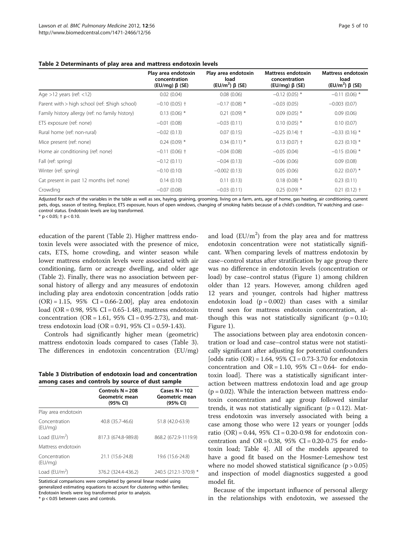#### Table 2 Determinants of play area and mattress endotoxin levels

|                                                 | Play area endotoxin<br>concentration<br>$(EU/mq)$ $\beta$ (SE) | Play area endotoxin<br>load<br>(EU/m <sup>2</sup> ) $\beta$ (SE) | Mattress endotoxin<br>concentration<br>$(EU/mq)$ $\beta$ (SE) | <b>Mattress endotoxin</b><br>load<br>(EU/m <sup>2</sup> ) $\beta$ (SE) |
|-------------------------------------------------|----------------------------------------------------------------|------------------------------------------------------------------|---------------------------------------------------------------|------------------------------------------------------------------------|
| Age $>12$ years (ref: $<12$ )                   | 0.02(0.04)                                                     | 0.08(0.06)                                                       | $-0.12(0.05)$ *                                               | $-0.11(0.06)$ *                                                        |
| Parent with > high school (ref: ≤high school)   | $-0.10$ (0.05) $\dagger$                                       | $-0.17(0.08)$ *                                                  | $-0.03(0.05)$                                                 | $-0.003(0.07)$                                                         |
| Family history allergy (ref: no family history) | $0.13(0.06)$ *                                                 | $0.21(0.09)$ *                                                   | $0.09(0.05)$ *                                                | 0.09(0.06)                                                             |
| ETS exposure (ref: none)                        | $-0.01(0.08)$                                                  | $-0.03(0.11)$                                                    | $0.10(0.05)$ *                                                | 0.10(0.07)                                                             |
| Rural home (ref: non-rural)                     | $-0.02(0.13)$                                                  | 0.07(0.15)                                                       | $-0.25(0.14)$ †                                               | $-0.33$ (0.16) *                                                       |
| Mice present (ref: none)                        | $0.24(0.09)$ *                                                 | $0.34(0.11)*$                                                    | $0.13(0.07)$ †                                                | $0.23(0.10)$ *                                                         |
| Home air conditioning (ref: none)               | $-0.11(0.06)$ †                                                | $-0.04(0.08)$                                                    | $-0.05(0.04)$                                                 | $-0.15(0.06)$ *                                                        |
| Fall (ref: spring)                              | $-0.12(0.11)$                                                  | $-0.04(0.13)$                                                    | $-0.06(0.06)$                                                 | 0.09(0.08)                                                             |
| Winter (ref: spring)                            | $-0.10(0.10)$                                                  | $-0.002(0.13)$                                                   | 0.05(0.06)                                                    | $0.22(0.07)$ *                                                         |
| Cat present in past 12 months (ref: none)       | 0.14(0.10)                                                     | 0.11(0.13)                                                       | $0.18(0.08)$ *                                                | 0.23(0.11)                                                             |
| Crowding                                        | $-0.07(0.08)$                                                  | $-0.03(0.11)$                                                    | $0.25(0.09)$ *                                                | $0.21(0.12)$ †                                                         |

Adjusted for each of the variables in the table as well as sex, haying, graining, grooming, living on a farm, ants, age of home, gas heating, air conditioning, current pets, dogs, season of testing, fireplace, ETS exposure, hours of open windows, changing of smoking habits because of a child's condition, TV watching and case– control status. Endotoxin levels are log transformed.

 $*$  p < 0.05;  $\dagger$  p < 0.10.

education of the parent (Table 2). Higher mattress endotoxin levels were associated with the presence of mice, cats, ETS, home crowding, and winter season while lower mattress endotoxin levels were associated with air conditioning, farm or acreage dwelling, and older age (Table 2). Finally, there was no association between personal history of allergy and any measures of endotoxin including play area endotoxin concentration [odds ratio  $(OR) = 1.15$ , 95% CI = 0.66-2.00], play area endotoxin load (OR = 0.98, 95% CI = 0.65-1.48), mattress endotoxin concentration ( $OR = 1.61$ ,  $95\%$  CI = 0.95-2.73), and mattress endotoxin load (OR = 0.91, 95% CI = 0.59-1.43).

Controls had significantly higher mean (geometric) mattress endotoxin loads compared to cases (Table 3). The differences in endotoxin concentration (EU/mg)

Table 3 Distribution of endotoxin load and concentration among cases and controls by source of dust sample

|                          | Controls $N = 208$<br>Geometric mean<br>(95% CI) | Cases $N = 102$<br>Geometric mean<br>(95% CI) |  |  |
|--------------------------|--------------------------------------------------|-----------------------------------------------|--|--|
| Play area endotoxin      |                                                  |                                               |  |  |
| Concentration<br>(EU/mg) | 40.8 (35.7-46.6)                                 | 51.8 (42.0-63.9)                              |  |  |
| Load ( $EU/m2$ )         | 817.3 (674.8-989.8)                              | 868.2 (672.9-1119.9)                          |  |  |
| Mattress endotoxin       |                                                  |                                               |  |  |
| Concentration<br>(EU/mg) | 21.1 (15.6-24.8)                                 | 19.6 (15.6-24.8)                              |  |  |
| Load ( $EU/m2$ )         | 376.2 (324.4-436.2)                              | 240.5 (212.1-370.9) *                         |  |  |
|                          |                                                  |                                               |  |  |

Statistical comparisons were completed by general linear model using generalized estimating equations to account for clustering within families; Endotoxin levels were log transformed prior to analysis.

\* p < 0.05 between cases and controls.

and load  $(EU/m^2)$  from the play area and for mattress endotoxin concentration were not statistically significant. When comparing levels of mattress endotoxin by case–control status after stratification by age group there was no difference in endotoxin levels (concentration or load) by case–control status (Figure [1\)](#page-5-0) among children older than 12 years. However, among children aged 12 years and younger, controls had higher mattress endotoxin load  $(p = 0.002)$  than cases with a similar trend seen for mattress endotoxin concentration, although this was not statistically significant  $(p = 0.10;$ Figure [1](#page-5-0)).

The associations between play area endotoxin concentration or load and case–control status were not statistically significant after adjusting for potential confounders [odds ratio  $(OR) = 1.64$ , 95% CI = 0.73-3.70 for endotoxin concentration and  $OR = 1.10$ , 95% CI = 0.64- for endotoxin load]. There was a statistically significant interaction between mattress endotoxin load and age group  $(p = 0.02)$ . While the interaction between mattress endotoxin concentration and age group followed similar trends, it was not statistically significant ( $p = 0.12$ ). Mattress endotoxin was inversely associated with being a case among those who were 12 years or younger [odds ratio  $(OR) = 0.44$ , 95% CI = 0.20-0.98 for endotoxin concentration and OR =  $0.38$ ,  $95\%$  CI =  $0.20$ -0.75 for endotoxin load; Table [4](#page-5-0)]. All of the models appeared to have a good fit based on the Hosmer-Lemeshow test where no model showed statistical significance  $(p > 0.05)$ and inspection of model diagnostics suggested a good model fit.

Because of the important influence of personal allergy in the relationships with endotoxin, we assessed the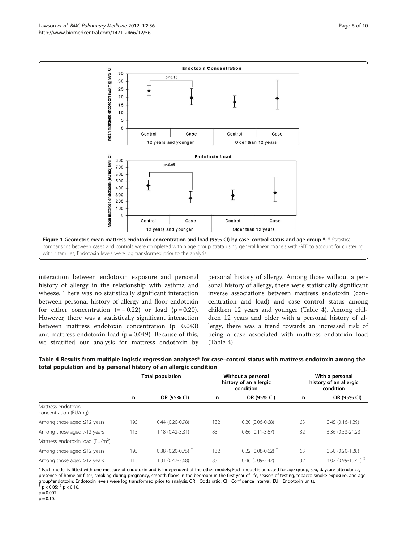<span id="page-5-0"></span>

interaction between endotoxin exposure and personal history of allergy in the relationship with asthma and wheeze. There was no statistically significant interaction between personal history of allergy and floor endotoxin for either concentration  $(=-0.22)$  or load  $(p=0.20)$ . However, there was a statistically significant interaction between mattress endotoxin concentration  $(p = 0.043)$ and mattress endotoxin load ( $p = 0.049$ ). Because of this, we stratified our analysis for mattress endotoxin by

personal history of allergy. Among those without a personal history of allergy, there were statistically significant inverse associations between mattress endotoxin (concentration and load) and case–control status among children 12 years and younger (Table 4). Among children 12 years and older with a personal history of allergy, there was a trend towards an increased risk of being a case associated with mattress endotoxin load (Table 4).

| Table 4 Results from multiple logistic regression analyses* for case-control status with mattress endotoxin among the |
|-----------------------------------------------------------------------------------------------------------------------|
| total population and by personal history of an allergic condition                                                     |

|                                              | <b>Total population</b> |                                 | Without a personal<br>history of an allergic<br>condition |                                 | With a personal<br>history of an allergic<br>condition |                                 |
|----------------------------------------------|-------------------------|---------------------------------|-----------------------------------------------------------|---------------------------------|--------------------------------------------------------|---------------------------------|
|                                              | n                       | OR (95% CI)                     | n                                                         | OR (95% CI)                     | n                                                      | OR (95% CI)                     |
| Mattress endotoxin<br>concentration (EU/mg)  |                         |                                 |                                                           |                                 |                                                        |                                 |
| Among those aged $\leq$ 12 years             | 195                     | $0.44$ (0.20-0.98) <sup>+</sup> | 132                                                       | $0.20(0.06 - 0.68)^+$           | 63                                                     | $0.45(0.16-1.29)$               |
| Among those aged >12 years                   | 115                     | 1.18 (0.42-3.31)                | 83                                                        | $0.66(0.11 - 3.67)$             | 32                                                     | 3.36 (0.53-21.23)               |
| Mattress endotoxin load (EU/m <sup>2</sup> ) |                         |                                 |                                                           |                                 |                                                        |                                 |
| Among those aged $\leq$ 12 years             | 195                     | $0.38$ (0.20-0.75) <sup>+</sup> | 132                                                       | $0.22$ (0.08-0.62) <sup>+</sup> | 63                                                     | $0.50(0.20-1.28)$               |
| Among those aged >12 years                   | 115                     | 1.31 (0.47-3.68)                | 83                                                        | $0.46(0.09-2.42)$               | 32                                                     | 4.02 (0.99-16.41) $\frac{1}{2}$ |

\* Each model is fitted with one measure of endotoxin and is independent of the other models; Each model is adjusted for age group, sex, daycare attendance, presence of home air filter, smoking during pregnancy, smooth floors in the bedroom in the first year of life, season of testing, tobacco smoke exposure, and age group\*endotoxin; Endotoxin levels were log transformed prior to analysis; OR = Odds ratio; CI = Confidence interval; EU = Endotoxin units.  $p < 0.05$ ;  $\frac{1}{7}$  p < 0.10.

 $p = 0.002$ .

 $p = 0.10$ .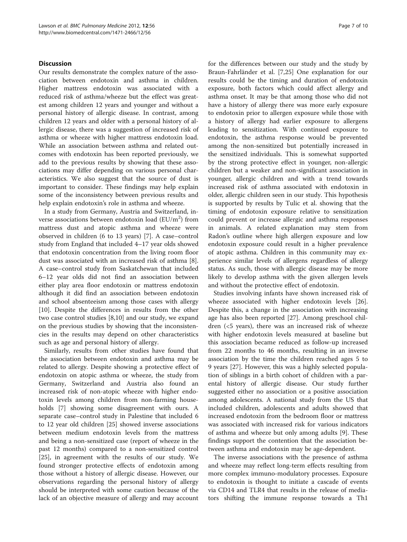#### **Discussion**

Our results demonstrate the complex nature of the association between endotoxin and asthma in children. Higher mattress endotoxin was associated with a reduced risk of asthma/wheeze but the effect was greatest among children 12 years and younger and without a personal history of allergic disease. In contrast, among children 12 years and older with a personal history of allergic disease, there was a suggestion of increased risk of asthma or wheeze with higher mattress endotoxin load. While an association between asthma and related outcomes with endotoxin has been reported previously, we add to the previous results by showing that these associations may differ depending on various personal characteristics. We also suggest that the source of dust is important to consider. These findings may help explain some of the inconsistency between previous results and help explain endotoxin's role in asthma and wheeze.

In a study from Germany, Austria and Switzerland, inverse associations between endotoxin load  $(EU/m^2)$  from mattress dust and atopic asthma and wheeze were observed in children (6 to 13 years) [[7\]](#page-8-0). A case–control study from England that included 4–17 year olds showed that endotoxin concentration from the living room floor dust was associated with an increased risk of asthma [\[8](#page-8-0)]. A case–control study from Saskatchewan that included 6–12 year olds did not find an association between either play area floor endotoxin or mattress endotoxin although it did find an association between endotoxin and school absenteeism among those cases with allergy [[10\]](#page-8-0). Despite the differences in results from the other two case control studies [[8,10\]](#page-8-0) and our study, we expand on the previous studies by showing that the inconsistencies in the results may depend on other characteristics such as age and personal history of allergy.

Similarly, results from other studies have found that the association between endotoxin and asthma may be related to allergy. Despite showing a protective effect of endotoxin on atopic asthma or wheeze, the study from Germany, Switzerland and Austria also found an increased risk of non-atopic wheeze with higher endotoxin levels among children from non-farming households [\[7](#page-8-0)] showing some disagreement with ours. A separate case–control study in Palestine that included 6 to 12 year old children [[25\]](#page-8-0) showed inverse associations between medium endotoxin levels from the mattress and being a non-sensitized case (report of wheeze in the past 12 months) compared to a non-sensitized control [[25\]](#page-8-0), in agreement with the results of our study. We found stronger protective effects of endotoxin among those without a history of allergic disease. However, our observations regarding the personal history of allergy should be interpreted with some caution because of the lack of an objective measure of allergy and may account for the differences between our study and the study by Braun-Fahrländer et al. [\[7,25\]](#page-8-0) One explanation for our results could be the timing and duration of endotoxin exposure, both factors which could affect allergy and asthma onset. It may be that among those who did not have a history of allergy there was more early exposure to endotoxin prior to allergen exposure while those with a history of allergy had earlier exposure to allergens leading to sensitization. With continued exposure to endotoxin, the asthma response would be prevented among the non-sensitized but potentially increased in the sensitized individuals. This is somewhat supported by the strong protective effect in younger, non-allergic children but a weaker and non-significant association in younger, allergic children and with a trend towards increased risk of asthma associated with endotoxin in older, allergic children seen in our study. This hypothesis is supported by results by Tulic et al. showing that the timing of endotoxin exposure relative to sensitization could prevent or increase allergic and asthma responses in animals. A related explanation may stem from Radon's outline where high allergen exposure and low endotoxin exposure could result in a higher prevalence of atopic asthma. Children in this community may experience similar levels of allergens regardless of allergy status. As such, those with allergic disease may be more likely to develop asthma with the given allergen levels and without the protective effect of endotoxin.

Studies involving infants have shown increased risk of wheeze associated with higher endotoxin levels [\[26](#page-8-0)]. Despite this, a change in the association with increasing age has also been reported [[27\]](#page-8-0). Among preschool children (<5 years), there was an increased risk of wheeze with higher endotoxin levels measured at baseline but this association became reduced as follow-up increased from 22 months to 46 months, resulting in an inverse association by the time the children reached ages 5 to 9 years [[27\]](#page-8-0). However, this was a highly selected population of siblings in a birth cohort of children with a parental history of allergic disease. Our study further suggested either no association or a positive association among adolescents. A national study from the US that included children, adolescents and adults showed that increased endotoxin from the bedroom floor or mattress was associated with increased risk for various indicators of asthma and wheeze but only among adults [[9\]](#page-8-0). These findings support the contention that the association between asthma and endotoxin may be age-dependent.

The inverse associations with the presence of asthma and wheeze may reflect long-term effects resulting from more complex immuno-modulatory processes. Exposure to endotoxin is thought to initiate a cascade of events via CD14 and TLR4 that results in the release of mediators shifting the immune response towards a Th1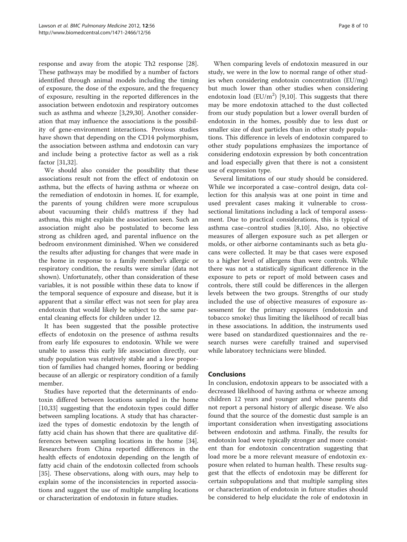response and away from the atopic Th2 response [\[28](#page-8-0)]. These pathways may be modified by a number of factors identified through animal models including the timing of exposure, the dose of the exposure, and the frequency of exposure, resulting in the reported differences in the association between endotoxin and respiratory outcomes such as asthma and wheeze [[3,29,](#page-8-0)[30\]](#page-9-0). Another consideration that may influence the associations is the possibility of gene-environment interactions. Previous studies have shown that depending on the CD14 polymorphism, the association between asthma and endotoxin can vary and include being a protective factor as well as a risk factor [\[31,32](#page-9-0)].

We should also consider the possibility that these associations result not from the effect of endotoxin on asthma, but the effects of having asthma or wheeze on the remediation of endotoxin in homes. If, for example, the parents of young children were more scrupulous about vacuuming their child's mattress if they had asthma, this might explain the association seen. Such an association might also be postulated to become less strong as children aged, and parental influence on the bedroom environment diminished. When we considered the results after adjusting for changes that were made in the home in response to a family member's allergic or respiratory condition, the results were similar (data not shown). Unfortunately, other than consideration of these variables, it is not possible within these data to know if the temporal sequence of exposure and disease, but it is apparent that a similar effect was not seen for play area endotoxin that would likely be subject to the same parental cleaning effects for children under 12.

It has been suggested that the possible protective effects of endotoxin on the presence of asthma results from early life exposures to endotoxin. While we were unable to assess this early life association directly, our study population was relatively stable and a low proportion of families had changed homes, flooring or bedding because of an allergic or respiratory condition of a family member.

Studies have reported that the determinants of endotoxin differed between locations sampled in the home [[10,](#page-8-0)[33\]](#page-9-0) suggesting that the endotoxin types could differ between sampling locations. A study that has characterized the types of domestic endotoxin by the length of fatty acid chain has shown that there are qualitative differences between sampling locations in the home [\[34](#page-9-0)]. Researchers from China reported differences in the health effects of endotoxin depending on the length of fatty acid chain of the endotoxin collected from schools [[35\]](#page-9-0). These observations, along with ours, may help to explain some of the inconsistencies in reported associations and suggest the use of multiple sampling locations or characterization of endotoxin in future studies.

When comparing levels of endotoxin measured in our study, we were in the low to normal range of other studies when considering endotoxin concentration (EU/mg) but much lower than other studies when considering endotoxin load ( $EU/m^2$ ) [\[9,10](#page-8-0)]. This suggests that there may be more endotoxin attached to the dust collected from our study population but a lower overall burden of endotoxin in the homes, possibly due to less dust or smaller size of dust particles than in other study populations. This difference in levels of endotoxin compared to other study populations emphasizes the importance of considering endotoxin expression by both concentration and load especially given that there is not a consistent use of expression type.

Several limitations of our study should be considered. While we incorporated a case–control design, data collection for this analysis was at one point in time and used prevalent cases making it vulnerable to crosssectional limitations including a lack of temporal assessment. Due to practical considerations, this is typical of asthma case–control studies [[8](#page-8-0),[10](#page-8-0)]. Also, no objective measures of allergen exposure such as pet allergen or molds, or other airborne contaminants such as beta glucans were collected. It may be that cases were exposed to a higher level of allergens than were controls. While there was not a statistically significant difference in the exposure to pets or report of mold between cases and controls, there still could be differences in the allergen levels between the two groups. Strengths of our study included the use of objective measures of exposure assessment for the primary exposures (endotoxin and tobacco smoke) thus limiting the likelihood of recall bias in these associations. In addition, the instruments used were based on standardized questionnaires and the research nurses were carefully trained and supervised while laboratory technicians were blinded.

# Conclusions

In conclusion, endotoxin appears to be associated with a decreased likelihood of having asthma or wheeze among children 12 years and younger and whose parents did not report a personal history of allergic disease. We also found that the source of the domestic dust sample is an important consideration when investigating associations between endotoxin and asthma. Finally, the results for endotoxin load were typically stronger and more consistent than for endotoxin concentration suggesting that load more be a more relevant measure of endotoxin exposure when related to human health. These results suggest that the effects of endotoxin may be different for certain subpopulations and that multiple sampling sites or characterization of endotoxin in future studies should be considered to help elucidate the role of endotoxin in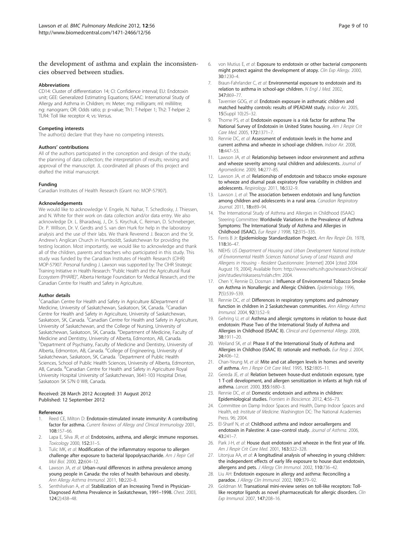### <span id="page-8-0"></span>the development of asthma and explain the inconsistencies observed between studies.

#### Abbreviations

CD14: Cluster of differentiation 14; CI: Confidence interval; EU: Endotoxin unit; GEE: Generalized Estimating Equations; ISAAC: International Study of Allergy and Asthma in Children; m: Meter; mg: milligram; ml: millilitre; ng: nanogram; OR: Odds ratio; p: p-value; Th1: T-helper 1; Th2: T-helper 2; TLR4: Toll like receptor 4; vs: Versus.

#### Competing interests

The author(s) declare that they have no competing interests.

#### Authors' contributions

All of the authors participated in the conception and design of the study; the planning of data collection; the interpretation of results; revising and approval of the manuscript. JL coordinated all phases of this project and drafted the initial manuscript.

#### Funding

Canadian Institutes of Health Research (Grant no: MOP-57907).

#### Acknowledgements

We would like to acknowledge V. Engele, N. Nahar, T. Schedlosky, J. Thiessen, and N. White for their work on data collection and/or data entry. We also acknowledge Dr. L. Bharadwaj, J., Dr. S. Kirychuk, C. Reiman, D. Schneberger, Dr. P. Willson, Dr. V. Gerdts and S. van den Hurk for help in the laboratory analysis and the use of their labs. We thank Reverend J. Beacon and the St. Andrew's Anglican Church in Humboldt, Saskatchewan for providing the testing location. Most importantly, we would like to acknowledge and thank all of the children, parents and teachers who participated in this study. This study was funded by the Canadian Institutes of Health Research (CIHR) MOP-57907. Personal funding J. Lawson was supported by: The CIHR Strategic Training Initiative in Health Research: "Public Health and the Agricultural Rural Ecosystem (PHARE)", Alberta Heritage Foundation for Medical Research, and the Canadian Centre for Health and Safety in Agriculture.

#### Author details

<sup>1</sup>Canadian Centre for Health and Safety in Agriculture &Department of Medicine, University of Saskatchewan, Saskatoon, SK, Canada. <sup>2</sup>Canadian Centre for Health and Safety in Agriculture, University of Saskatchewan, Saskatoon, SK, Canada. <sup>3</sup>Canadian Centre for Health and Safety in Agriculture, University of Saskatchewan, and the College of Nursing, University of Saskatchewan, Saskatoon, SK, Canada. <sup>4</sup>Department of Medicine, Faculty of Medicine and Dentistry, University of Alberta, Edmonton, AB, Canada. 5 Department of Psychiatry, Faculty of Medicine and Dentistry, University of Alberta, Edmonton, AB, Canada. <sup>6</sup>College of Engineering, University of Saskatchewan, Saskatoon, SK, Canada. <sup>7</sup> Department of Public Health Sciences, School of Public Health Sciences, University of Alberta, Edmonton, AB, Canada. <sup>8</sup>Canadian Centre for Health and Safety in Agriculture Royal University Hospital University of Saskatchewan, 3641-103 Hospital Drive, Saskatoon SK S7N 0 W8, Canada.

#### Received: 28 March 2012 Accepted: 31 August 2012 Published: 12 September 2012

#### References

- 1. Reed CE, Milton D: Endotoxin-stimulated innate immunity: A contributing factor for asthma. Current Reviews of Allergy and Clinical Immunology 2001, 108:157–66.
- Lapa E, Silva JR, et al: Endotoxins, asthma, and allergic immune responses. Toxicology 2000, 152:31–5.
- Tulic MK, et al: Modification of the inflammatory response to allergen challenge after exposure to bacterial lipopolysaccharide. Am J Repir Cell Mol Biol. 2000, 22:604–12.
- Lawson JA, et al: Urban-rural differences in asthma prevalence among young people in Canada: the roles of health behaviours and obesity. Ann Allergy Asthma Immunol. 2011, 10:220–8.
- Senthilselvan A, et al: Stabilization of an Increasing Trend in Physician-Diagnosed Asthma Prevalence in Saskatchewan, 1991–1998. Chest. 2003, 124(2):438–48.
- 6. von Mutius E, et al: Exposure to endotoxin or other bacterial components might protect against the development of atopy. Clin Exp Allergy. 2000, 30:1230–4.
- Braun-Fahrlander C, et al: Environmental exposure to endotoxin and its relation to asthma in school-age children. N Engl J Med. 2002, 347:869–77.
- 8. Tavernier GOG, et al: Endotoxin exposure in asthmatic children and matched healthy controls: results of IPEADAM study. Indoor Air. 2005, 15(Suppl 10):25–32.
- 9. Thorne PS, et al: Endotoxin exposure is a risk factor for asthma: The National Survey of Endotoxin in United States housing. Am J Respir Crit Care Med. 2005, 172:1371–7.
- 10. Rennie DC, et al: Assessment of endotoxin levels in the home and current asthma and wheeze in school-age children. Indoor Air. 2008, 18:447–53.
- 11. Lawson JA, et al: Relationship between indoor environment and asthma and wheeze severity among rural children and adolescents. Journal of Agromedicine. 2009, 14:277-85.
- 12. Lawson JA, et al: Relationship of endotoxin and tobacco smoke exposure to wheeze and diurnal peak expiratory flow variability in children and adolescents. Respirology. 2011, 16:332–9.
- 13. Lawson J, et al: The association between endotoxin and lung function among children and adolescents in a rural area. Canadian Respiratory Journal. 2011, 18:e89–94.
- 14. The International Study of Asthma and Allergies in Childhood (ISAAC) Steering Committee: Worldwide Variations in the Prevalence of Asthma Symptoms: The International Study of Asthma and Allergies in Childhood (ISAAC). Eur Respir J 1998, 12:315–335.
- 15. Ferris B Jr: Epidemiology Standardization Project. Am Rev Respir Dis. 1978, 118:36–47.
- 16. NIEHS: US Department of Housing and Urban Development National Institute of Environmental Health Sciences National Survey of Lead Hazards and Allergens in Housing - Resident Questionnaire. [internet] 2004 [cited 2004 August 19, 2004]; Available from: [http://www.niehs.nih.gov/research/clinical/](http://www.niehs.nih.gov/research/clinical/join/studies/riskassess/nslah.cfm) [join/studies/riskassess/nslah.cfm](http://www.niehs.nih.gov/research/clinical/join/studies/riskassess/nslah.cfm): 2004.
- 17. Chen Y, Rennie D, Dosman J: Influence of Environmental Tobacco Smoke on Asthma in Nonallergic and Allergic Children. Epidemiology. 1996, 7(5):539–539.
- 18. Rennie DC, et al: Differences in respiratory symptoms and pulmonary function in children in 2 Saskatchewan communities. Ann Allergy Asthma Immunol. 2004, 92(1):52–9.
- 19. Gehring U, et al: Asthma and allergic symptoms in relation to house dust endotoxin: Phase Two of the International Study of Asthma and Allergies in Childhood (ISAAC II). Clinical and Experimental Allergy. 2008, 38:1911–20.
- 20. Weiland SK, et al: Phase II of the International Study of Asthma and Allergies in Childhoo (ISAAC II): rationale and methods. Eur Resp J. 2004, 24:406–12.
- 21. Chan-Yeung M, et al: Mite and cat allergen levels in homes and severity of asthma. Am J Respir Crit Care Med. 1995, 152:1805–11.
- 22. Gereda JE, et al: Relation between house-dust endotoxin exposure, type 1 T-cell development, and allergen sensitization in infants at high risk of asthma. Lancet. 2000, 355:1680–3.
- 23. Rennie DC, et al: Domestic endotoxin and asthma in children: Epidemiological studies. Frontiers in Bioscience. 2012, 4:56–73.
- 24. Committee on Damp Indoor Spaces and Health, Damp Indoor Spaces and Health, ed: Institute of Medicine. Washington DC: The National Academies Press. 96; 2004.
- 25. El-Sharif N, et al: Childhood asthma and indoor aeroallergens and endotoxin in Palestine: A case-control study. Journal of Asthma. 2006, 43:241–7.
- 26. Park J-H, et al: House dust endotoxin and wheeze in the first year of life. Am J Respir Crit Care Med. 2001, 163:322–328.
- 27. Litonjua AA, et al: A longitudinal analysis of wheezing in young children: the independent effects of early life exposure to house dust endotoxin, allergens and pets. J Allergy Clin Immunol. 2002, 110:736-42.
- 28. Liu AH: Endotoxin exposure in allergy and asthma: Reconciling a paradox. J Allergy Clin Immunol. 2002, 109:379-92.
- 29. Goldman M: Transational mini-review series on toll-like receptors: Tolllike receptor ligands as novel pharmaceuticals for allergic disorders. Clin Exp Immunol. 2007, 147:208–16.